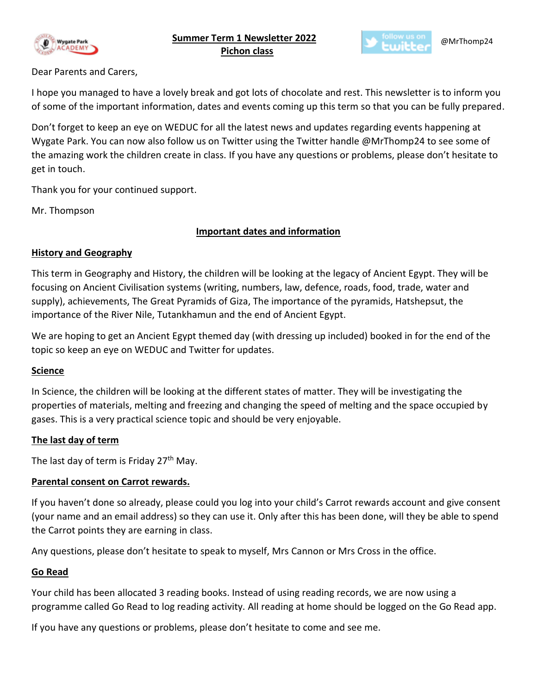

 **Summer Term 1 Newsletter 2022** **Pichon class**



# Dear Parents and Carers,

I hope you managed to have a lovely break and got lots of chocolate and rest. This newsletter is to inform you of some of the important information, dates and events coming up this term so that you can be fully prepared.

Don't forget to keep an eye on WEDUC for all the latest news and updates regarding events happening at Wygate Park. You can now also follow us on Twitter using the Twitter handle @MrThomp24 to see some of the amazing work the children create in class. If you have any questions or problems, please don't hesitate to get in touch.

Thank you for your continued support.

Mr. Thompson

# **Important dates and information**

# **History and Geography**

This term in Geography and History, the children will be looking at the legacy of Ancient Egypt. They will be focusing on Ancient Civilisation systems (writing, numbers, law, defence, roads, food, trade, water and supply), achievements, The Great Pyramids of Giza, The importance of the pyramids, Hatshepsut, the importance of the River Nile, Tutankhamun and the end of Ancient Egypt.

We are hoping to get an Ancient Egypt themed day (with dressing up included) booked in for the end of the topic so keep an eye on WEDUC and Twitter for updates.

# **Science**

In Science, the children will be looking at the different states of matter. They will be investigating the properties of materials, melting and freezing and changing the speed of melting and the space occupied by gases. This is a very practical science topic and should be very enjoyable.

# **The last day of term**

The last day of term is Friday  $27<sup>th</sup>$  May.

# **Parental consent on Carrot rewards.**

If you haven't done so already, please could you log into your child's Carrot rewards account and give consent (your name and an email address) so they can use it. Only after this has been done, will they be able to spend the Carrot points they are earning in class.

Any questions, please don't hesitate to speak to myself, Mrs Cannon or Mrs Cross in the office.

#### **Go Read**

Your child has been allocated 3 reading books. Instead of using reading records, we are now using a programme called Go Read to log reading activity. All reading at home should be logged on the Go Read app.

If you have any questions or problems, please don't hesitate to come and see me.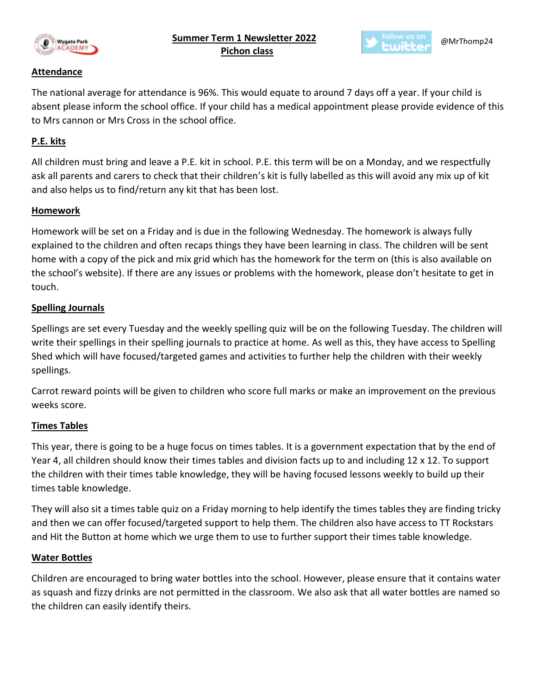

 **Summer Term 1 Newsletter 2022** **Pichon class**



#### **Attendance**

The national average for attendance is 96%. This would equate to around 7 days off a year. If your child is absent please inform the school office. If your child has a medical appointment please provide evidence of this to Mrs cannon or Mrs Cross in the school office.

# **P.E. kits**

All children must bring and leave a P.E. kit in school. P.E. this term will be on a Monday, and we respectfully ask all parents and carers to check that their children's kit is fully labelled as this will avoid any mix up of kit and also helps us to find/return any kit that has been lost.

#### **Homework**

Homework will be set on a Friday and is due in the following Wednesday. The homework is always fully explained to the children and often recaps things they have been learning in class. The children will be sent home with a copy of the pick and mix grid which has the homework for the term on (this is also available on the school's website). If there are any issues or problems with the homework, please don't hesitate to get in touch.

# **Spelling Journals**

Spellings are set every Tuesday and the weekly spelling quiz will be on the following Tuesday. The children will write their spellings in their spelling journals to practice at home. As well as this, they have access to Spelling Shed which will have focused/targeted games and activities to further help the children with their weekly spellings.

Carrot reward points will be given to children who score full marks or make an improvement on the previous weeks score.

# **Times Tables**

This year, there is going to be a huge focus on times tables. It is a government expectation that by the end of Year 4, all children should know their times tables and division facts up to and including 12 x 12. To support the children with their times table knowledge, they will be having focused lessons weekly to build up their times table knowledge.

They will also sit a times table quiz on a Friday morning to help identify the times tables they are finding tricky and then we can offer focused/targeted support to help them. The children also have access to TT Rockstars and Hit the Button at home which we urge them to use to further support their times table knowledge.

#### **Water Bottles**

Children are encouraged to bring water bottles into the school. However, please ensure that it contains water as squash and fizzy drinks are not permitted in the classroom. We also ask that all water bottles are named so the children can easily identify theirs.